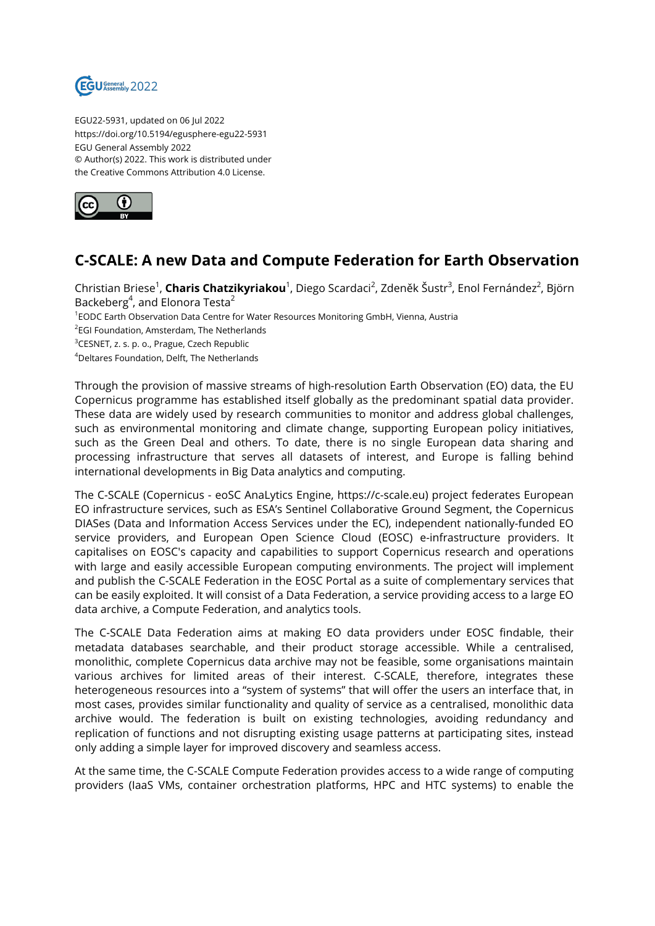

EGU22-5931, updated on 06 Jul 2022 https://doi.org/10.5194/egusphere-egu22-5931 EGU General Assembly 2022 © Author(s) 2022. This work is distributed under the Creative Commons Attribution 4.0 License.



## **C-SCALE: A new Data and Compute Federation for Earth Observation**

Christian Briese<sup>1</sup>, **Charis Chatzikyriakou**<sup>1</sup>, Diego Scardaci<sup>2</sup>, Zdeněk Šustr<sup>3</sup>, Enol Fernández<sup>2</sup>, Björn Backeberg<sup>4</sup>, and Elonora Testa<sup>2</sup> 1 EODC Earth Observation Data Centre for Water Resources Monitoring GmbH, Vienna, Austria <sup>2</sup>EGI Foundation, Amsterdam, The Netherlands <sup>3</sup>CESNET, z. s. p. o., Prague, Czech Republic <sup>4</sup>Deltares Foundation, Delft, The Netherlands

Through the provision of massive streams of high-resolution Earth Observation (EO) data, the EU Copernicus programme has established itself globally as the predominant spatial data provider. These data are widely used by research communities to monitor and address global challenges, such as environmental monitoring and climate change, supporting European policy initiatives, such as the Green Deal and others. To date, there is no single European data sharing and processing infrastructure that serves all datasets of interest, and Europe is falling behind international developments in Big Data analytics and computing.

The C-SCALE (Copernicus - eoSC AnaLytics Engine, https://c-scale.eu) project federates European EO infrastructure services, such as ESA's Sentinel Collaborative Ground Segment, the Copernicus DIASes (Data and Information Access Services under the EC), independent nationally-funded EO service providers, and European Open Science Cloud (EOSC) e-infrastructure providers. It capitalises on EOSC's capacity and capabilities to support Copernicus research and operations with large and easily accessible European computing environments. The project will implement and publish the C-SCALE Federation in the EOSC Portal as a suite of complementary services that can be easily exploited. It will consist of a Data Federation, a service providing access to a large EO data archive, a Compute Federation, and analytics tools.

The C-SCALE Data Federation aims at making EO data providers under EOSC findable, their metadata databases searchable, and their product storage accessible. While a centralised, monolithic, complete Copernicus data archive may not be feasible, some organisations maintain various archives for limited areas of their interest. C-SCALE, therefore, integrates these heterogeneous resources into a "system of systems" that will offer the users an interface that, in most cases, provides similar functionality and quality of service as a centralised, monolithic data archive would. The federation is built on existing technologies, avoiding redundancy and replication of functions and not disrupting existing usage patterns at participating sites, instead only adding a simple layer for improved discovery and seamless access.

At the same time, the C-SCALE Compute Federation provides access to a wide range of computing providers (IaaS VMs, container orchestration platforms, HPC and HTC systems) to enable the